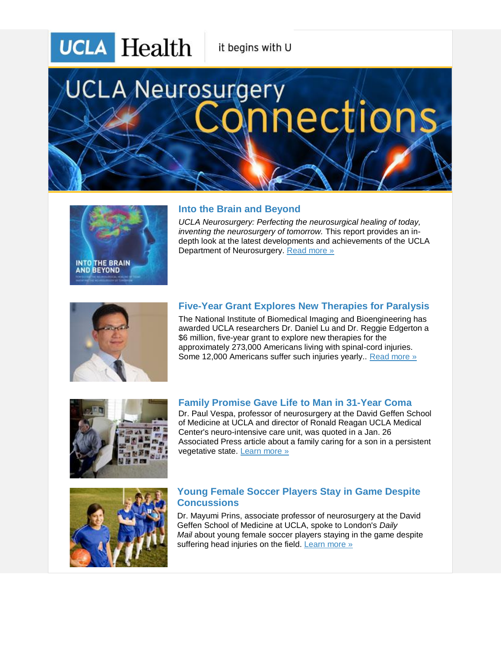**UCLA** Health

it begins with U

# **UCLA Neurosurgery** nections.



## **Into the Brain and Beyond**

*UCLA Neurosurgery: Perfecting the neurosurgical healing of today, inventing the neurosurgery of tomorrow.* This report provides an indepth look at the latest developments and achievements of the UCLA Department of Neurosurgery. [Read more »](http://r20.rs6.net/tn.jsp?e=001gOpP3p16Pb_hHAjXt5hqtMx51-gCY7YB2OF56Imd_DY2svKYgCUpkpbtb4ev1VxaGx9T6FliRChdR2ppMvVv105kguxSadjFG_a_ahnGJtWwjYvFXGjQj4iau71VYGt5rWRqzGEuqJzA6_t12veIkhAU5n_jp73uJXJ9rtyupdT67MWoXyHOaDGQbwsehA8a9vJMjaARlfihO_4X-X_0_jQ5_BvWR7cWjkkPBwVclWiLKZUbvz2PwfXjvgdhVyLK2coOC3yD_a72iJXcOFFa_rEDcjyBac1fZ8Sb3oOtGzPNEsUsh1el-jWIre2TwwFT-rMBmUEuhL9LIFc5oRewLKjVL28SNf7Y) 



# **Five-Year Grant Explores New Therapies for Paralysis**

The National Institute of Biomedical Imaging and Bioengineering has awarded UCLA researchers Dr. Daniel Lu and Dr. Reggie Edgerton a \$6 million, five-year grant to explore new therapies for the approximately 273,000 Americans living with spinal-cord injuries. Some 12,000 Americans suffer such injuries yearly.. [Read more »](http://r20.rs6.net/tn.jsp?e=001gOpP3p16Pb-XZ20tM7RkQG2AYKQRG_Zm_UXAOQ9ahnFDnUthMFXayEaBwQfvPOdtz2Z42ECPD848bIXKdXMReU3t9wHH-creO4Zsh2rquszXJmj2qAgU_pREBLXWE6BSkpwPrlP5Vydf2-XEcJsnWlavZxGY--l82fv2nivBnSF0PGth4MnbAXZdiD8T_jcXfdmhgzLAb3c3zs57VBm5ow3ZCxgg_NjGn7c0qpgFOMOx9oH43AqfUjg3oqoSk8crUvne09ru_bYVoIo-8XViTei6EZHc6lx11mj-edl-1c5MvFuSgExkzu8DPRxylzSolm9pBAx9jIOikUfg3tu5KA==) 



#### **Family Promise Gave Life to Man in 31-Year Coma**

Dr. Paul Vespa, professor of neurosurgery at the David Geffen School of Medicine at UCLA and director of Ronald Reagan UCLA Medical Center's neuro-intensive care unit, was quoted in a Jan. 26 Associated Press article about a family caring for a son in a persistent vegetative state. [Learn more »](http://r20.rs6.net/tn.jsp?e=001gOpP3p16Pb_tFyuKBsqJmqqTynhIOOlSixZwQ6DUGtzUv281lZPdGGy8I6EkERh8BRbyuymqYnuKr-EUx_YYA9lH09OTdtl7Ro6Qqx6oAdqdaPvhu4pAKritolm0jOpUrB2ZoFqlL1w7dmgkyfk7HBPR1hanr7gieDB-BTOyPJcl1-Jec0JUbKcVbFt_QG6xo_KqBYZgpOvnFrC0Q1dqdRMERe8fWUmXPw8kGTa4bb-jI3Egnm0PWLw4npIVV4sh9d4Tl913NXEZRKhImOMiz_ABW8v4w1jbdZ1eNWfbeAvzViYoos9JiUWKNvUhfr-ZNcwOM1JhTLUkFWsD7AHs6LbYPtHrMRqaFZ6ojWt8WPM=)



#### **Young Female Soccer Players Stay in Game Despite Concussions**

Dr. Mayumi Prins, associate professor of neurosurgery at the David Geffen School of Medicine at UCLA, spoke to London's *Daily Mail* about young female soccer players staying in the game despite suffering head injuries on the field. [Learn more »](http://r20.rs6.net/tn.jsp?e=001gOpP3p16Pb95v7xM2hzZIuVvgqL_1YFBxaJdyZXx3ix_2rUVHJY-qtH6FNo19UFBm7Bj_1zZimLBz05KPnBNWcXKxG5H4GCyLyqyJVDwcBUmElxEiMNSR_6N9OqAxAM1QNttBf3awf3_GufuerwMxLrYbuJyt9q4YeYUd1V4foqCRLt7B736epauKSmanOrnFNk4EobkNrIl-LRwiZ92YOII5ViOzfUoitnB7n1pQJtpDxEUb7wVUqc704CRP7533qFFOgLTPNWzBDo-uKOhdfKwwaWgklql7KEuLJM6OOfXL0xU-ZogiJzy7y-eLNA-pydnGpAYP3tbpr6H9CkAg4d5c5mneOVWGvT9UsCrNxkRqnXPenRZmVKOESyZ4jnHXZ9gjjvOiSgSxm5T-YF6LWRgHkvpdKDkWeHI43wuPImfQduOMzTcAMYKbjS6-Yqg)